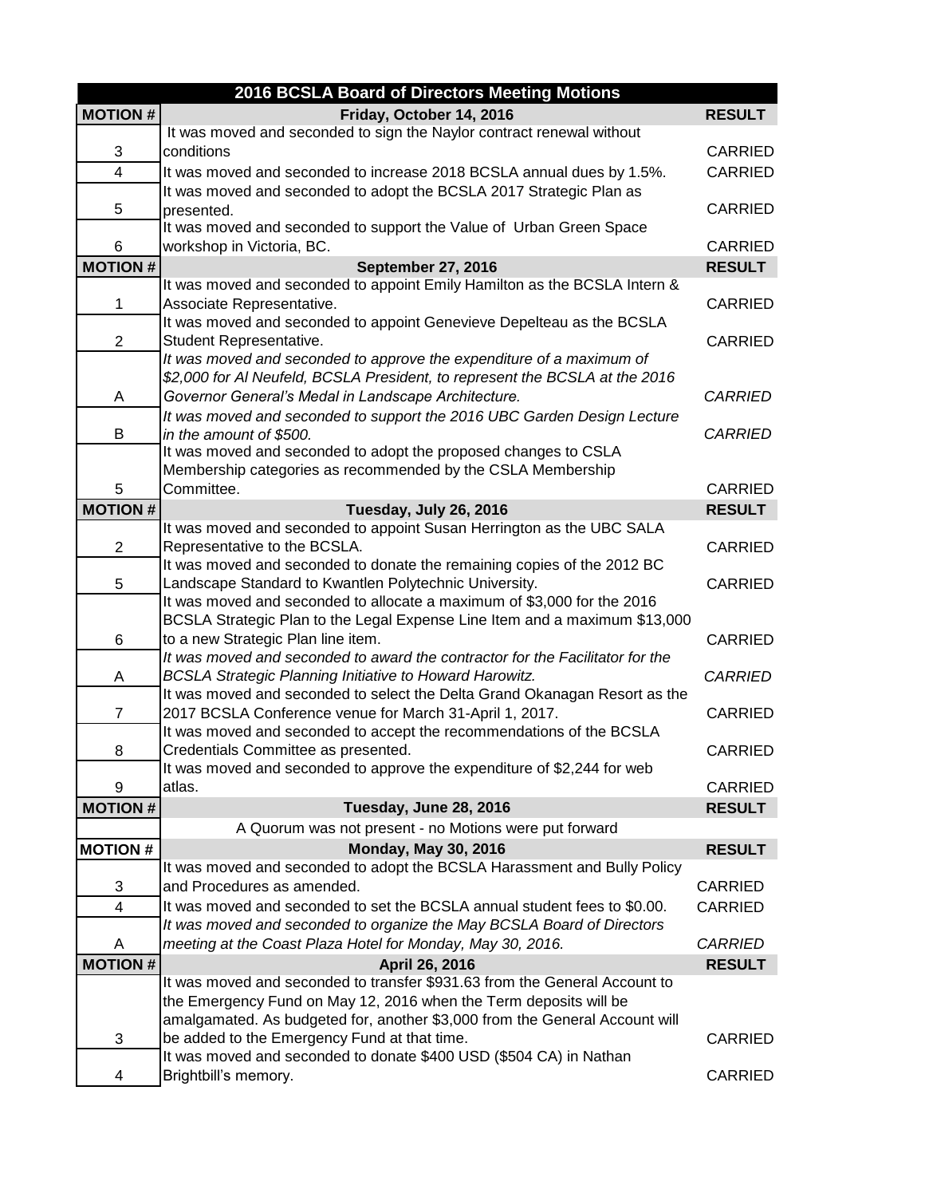| 2016 BCSLA Board of Directors Meeting Motions |                                                                                                         |                                 |  |
|-----------------------------------------------|---------------------------------------------------------------------------------------------------------|---------------------------------|--|
| <b>MOTION#</b>                                | Friday, October 14, 2016                                                                                | <b>RESULT</b>                   |  |
|                                               | It was moved and seconded to sign the Naylor contract renewal without                                   |                                 |  |
| 3                                             | conditions                                                                                              | <b>CARRIED</b>                  |  |
| $\overline{\mathbf{4}}$                       | It was moved and seconded to increase 2018 BCSLA annual dues by 1.5%.                                   | <b>CARRIED</b>                  |  |
|                                               | It was moved and seconded to adopt the BCSLA 2017 Strategic Plan as                                     |                                 |  |
| 5                                             | presented.                                                                                              | CARRIED                         |  |
|                                               | It was moved and seconded to support the Value of Urban Green Space                                     | <b>CARRIED</b>                  |  |
| 6                                             | workshop in Victoria, BC.                                                                               |                                 |  |
| <b>MOTION#</b>                                | <b>September 27, 2016</b><br>It was moved and seconded to appoint Emily Hamilton as the BCSLA Intern &  | <b>RESULT</b>                   |  |
| $\mathbf 1$                                   | Associate Representative.                                                                               | <b>CARRIED</b>                  |  |
|                                               | It was moved and seconded to appoint Genevieve Depelteau as the BCSLA                                   |                                 |  |
| $\overline{2}$                                | Student Representative.                                                                                 | <b>CARRIED</b>                  |  |
|                                               | It was moved and seconded to approve the expenditure of a maximum of                                    |                                 |  |
|                                               | \$2,000 for AI Neufeld, BCSLA President, to represent the BCSLA at the 2016                             |                                 |  |
| Α                                             | Governor General's Medal in Landscape Architecture.                                                     | <b>CARRIED</b>                  |  |
|                                               | It was moved and seconded to support the 2016 UBC Garden Design Lecture                                 |                                 |  |
| В                                             | in the amount of \$500.                                                                                 | <b>CARRIED</b>                  |  |
|                                               | It was moved and seconded to adopt the proposed changes to CSLA                                         |                                 |  |
|                                               | Membership categories as recommended by the CSLA Membership                                             |                                 |  |
| 5                                             | Committee.                                                                                              | <b>CARRIED</b>                  |  |
| <b>MOTION#</b>                                | Tuesday, July 26, 2016                                                                                  | <b>RESULT</b>                   |  |
|                                               | It was moved and seconded to appoint Susan Herrington as the UBC SALA                                   |                                 |  |
| $\overline{2}$                                | Representative to the BCSLA.<br>It was moved and seconded to donate the remaining copies of the 2012 BC | CARRIED                         |  |
| 5                                             | Landscape Standard to Kwantlen Polytechnic University.                                                  | <b>CARRIED</b>                  |  |
|                                               | It was moved and seconded to allocate a maximum of \$3,000 for the 2016                                 |                                 |  |
|                                               | BCSLA Strategic Plan to the Legal Expense Line Item and a maximum \$13,000                              |                                 |  |
| 6                                             | to a new Strategic Plan line item.                                                                      | <b>CARRIED</b>                  |  |
|                                               | It was moved and seconded to award the contractor for the Facilitator for the                           |                                 |  |
| A                                             | <b>BCSLA Strategic Planning Initiative to Howard Harowitz.</b>                                          | <b>CARRIED</b>                  |  |
|                                               | It was moved and seconded to select the Delta Grand Okanagan Resort as the                              |                                 |  |
| $\overline{7}$                                | 2017 BCSLA Conference venue for March 31-April 1, 2017.                                                 | <b>CARRIED</b>                  |  |
|                                               | It was moved and seconded to accept the recommendations of the BCSLA                                    |                                 |  |
| 8                                             | Credentials Committee as presented.                                                                     | <b>CARRIED</b>                  |  |
|                                               | It was moved and seconded to approve the expenditure of \$2,244 for web<br>atlas.                       |                                 |  |
| 9<br><b>MOTION#</b>                           |                                                                                                         | <b>CARRIED</b><br><b>RESULT</b> |  |
|                                               | Tuesday, June 28, 2016                                                                                  |                                 |  |
|                                               | A Quorum was not present - no Motions were put forward                                                  |                                 |  |
| <b>MOTION#</b>                                | <b>Monday, May 30, 2016</b><br>It was moved and seconded to adopt the BCSLA Harassment and Bully Policy | <b>RESULT</b>                   |  |
| 3                                             | and Procedures as amended.                                                                              | <b>CARRIED</b>                  |  |
| $\overline{\mathbf{4}}$                       | It was moved and seconded to set the BCSLA annual student fees to \$0.00.                               | <b>CARRIED</b>                  |  |
|                                               | It was moved and seconded to organize the May BCSLA Board of Directors                                  |                                 |  |
| A                                             | meeting at the Coast Plaza Hotel for Monday, May 30, 2016.                                              | <b>CARRIED</b>                  |  |
| <b>MOTION#</b>                                | April 26, 2016                                                                                          | <b>RESULT</b>                   |  |
|                                               | It was moved and seconded to transfer \$931.63 from the General Account to                              |                                 |  |
|                                               | the Emergency Fund on May 12, 2016 when the Term deposits will be                                       |                                 |  |
|                                               | amalgamated. As budgeted for, another \$3,000 from the General Account will                             |                                 |  |
| 3                                             | be added to the Emergency Fund at that time.                                                            | <b>CARRIED</b>                  |  |
|                                               | It was moved and seconded to donate \$400 USD (\$504 CA) in Nathan                                      |                                 |  |
| 4                                             | Brightbill's memory.                                                                                    | CARRIED                         |  |